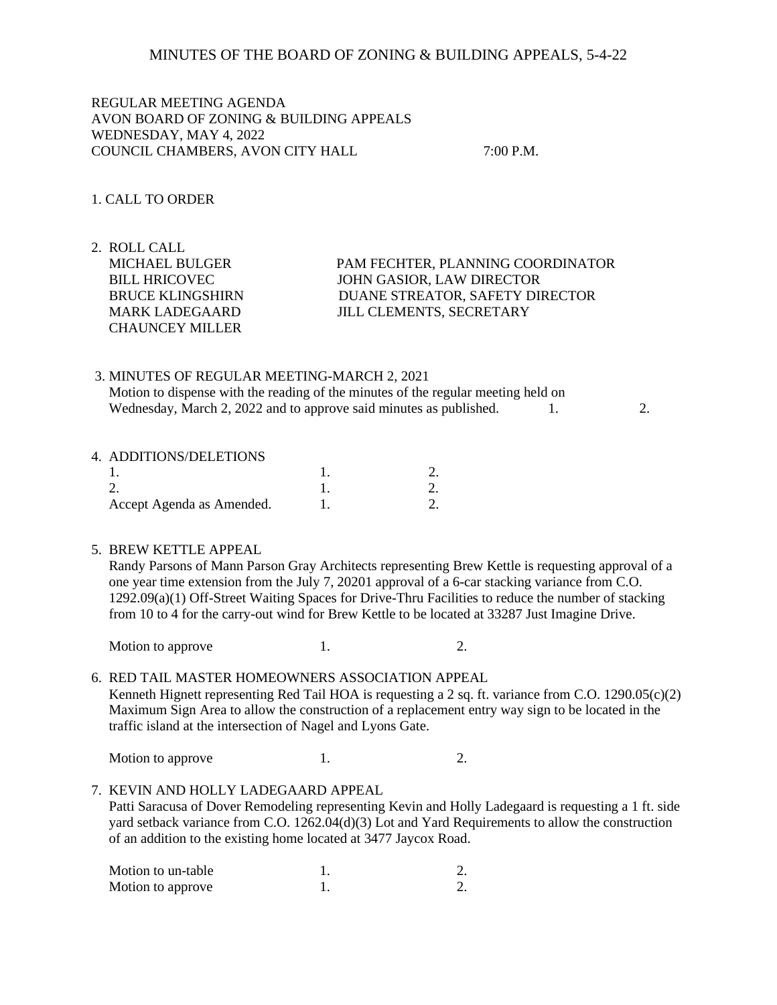### MINUTES OF THE BOARD OF ZONING & BUILDING APPEALS, 5-4-22

REGULAR MEETING AGENDA AVON BOARD OF ZONING & BUILDING APPEALS WEDNESDAY, MAY 4, 2022 COUNCIL CHAMBERS, AVON CITY HALL 7:00 P.M.

### 1. CALL TO ORDER

2. ROLL CALL CHAUNCEY MILLER

 MICHAEL BULGER PAM FECHTER, PLANNING COORDINATOR BILL HRICOVEC JOHN GASIOR, LAW DIRECTOR BRUCE KLINGSHIRN DUANE STREATOR, SAFETY DIRECTOR MARK LADEGAARD JILL CLEMENTS, SECRETARY

## 3. MINUTES OF REGULAR MEETING-MARCH 2, 2021 Motion to dispense with the reading of the minutes of the regular meeting held on Wednesday, March 2, 2022 and to approve said minutes as published. 1. 2.

#### 4. ADDITIONS/DELETIONS

| Accept Agenda as Amended. |  |
|---------------------------|--|

#### 5. BREW KETTLE APPEAL

 Randy Parsons of Mann Parson Gray Architects representing Brew Kettle is requesting approval of a one year time extension from the July 7, 20201 approval of a 6-car stacking variance from C.O. 1292.09(a)(1) Off-Street Waiting Spaces for Drive-Thru Facilities to reduce the number of stacking from 10 to 4 for the carry-out wind for Brew Kettle to be located at 33287 Just Imagine Drive.

Motion to approve 1. 2.

# 6. RED TAIL MASTER HOMEOWNERS ASSOCIATION APPEAL Kenneth Hignett representing Red Tail HOA is requesting a 2 sq. ft. variance from C.O. 1290.05(c)(2) Maximum Sign Area to allow the construction of a replacement entry way sign to be located in the traffic island at the intersection of Nagel and Lyons Gate.

Motion to approve 1. 2.

# 7. KEVIN AND HOLLY LADEGAARD APPEAL Patti Saracusa of Dover Remodeling representing Kevin and Holly Ladegaard is requesting a 1 ft. side yard setback variance from C.O. 1262.04(d)(3) Lot and Yard Requirements to allow the construction of an addition to the existing home located at 3477 Jaycox Road.

| Motion to un-table |  |
|--------------------|--|
| Motion to approve  |  |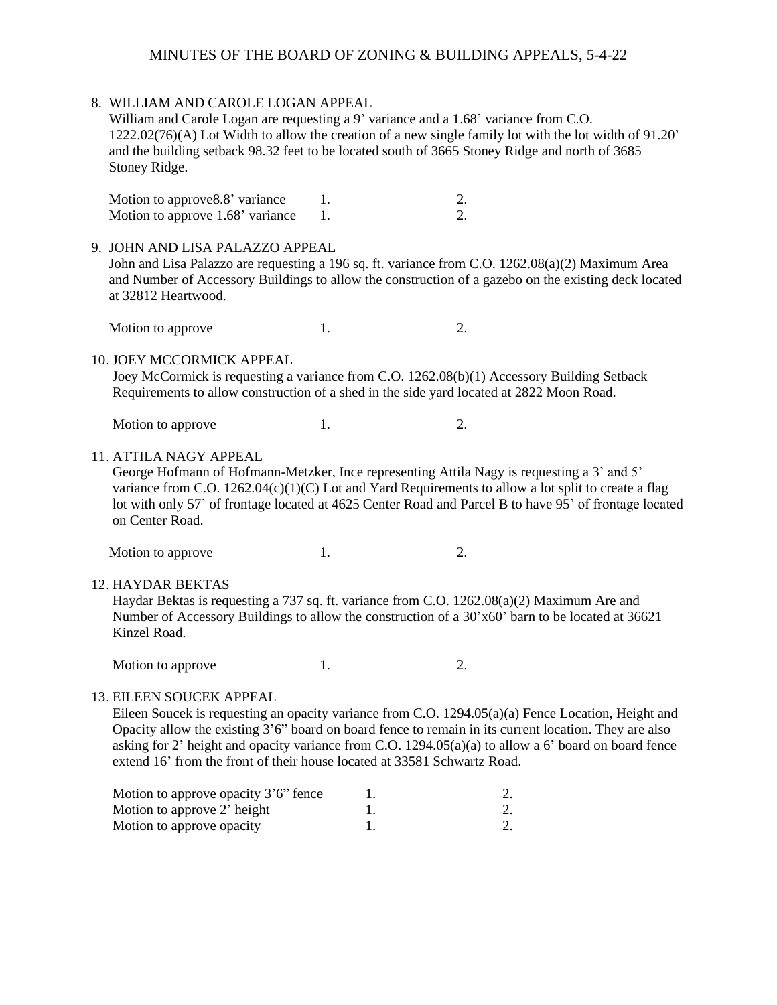# MINUTES OF THE BOARD OF ZONING & BUILDING APPEALS, 5-4-22

|                                                                                                                                                                                                                                                                                                                                                                                                                             | 8. WILLIAM AND CAROLE LOGAN APPEAL<br>William and Carole Logan are requesting a 9' variance and a 1.68' variance from C.O.<br>1222.02(76)(A) Lot Width to allow the creation of a new single family lot with the lot width of 91.20'<br>and the building setback 98.32 feet to be located south of 3665 Stoney Ridge and north of 3685<br>Stoney Ridge. |          |                        |  |
|-----------------------------------------------------------------------------------------------------------------------------------------------------------------------------------------------------------------------------------------------------------------------------------------------------------------------------------------------------------------------------------------------------------------------------|---------------------------------------------------------------------------------------------------------------------------------------------------------------------------------------------------------------------------------------------------------------------------------------------------------------------------------------------------------|----------|------------------------|--|
|                                                                                                                                                                                                                                                                                                                                                                                                                             | Motion to approve 8.8' variance<br>Motion to approve 1.68' variance                                                                                                                                                                                                                                                                                     | 1.<br>1. | 2.<br>$\overline{2}$ . |  |
|                                                                                                                                                                                                                                                                                                                                                                                                                             | 9. JOHN AND LISA PALAZZO APPEAL<br>John and Lisa Palazzo are requesting a 196 sq. ft. variance from C.O. 1262.08(a)(2) Maximum Area<br>and Number of Accessory Buildings to allow the construction of a gazebo on the existing deck located<br>at 32812 Heartwood.                                                                                      |          |                        |  |
|                                                                                                                                                                                                                                                                                                                                                                                                                             | Motion to approve                                                                                                                                                                                                                                                                                                                                       | 1.       | 2.                     |  |
|                                                                                                                                                                                                                                                                                                                                                                                                                             | 10. JOEY MCCORMICK APPEAL<br>Joey McCormick is requesting a variance from C.O. 1262.08(b)(1) Accessory Building Setback<br>Requirements to allow construction of a shed in the side yard located at 2822 Moon Road.                                                                                                                                     |          |                        |  |
|                                                                                                                                                                                                                                                                                                                                                                                                                             | Motion to approve                                                                                                                                                                                                                                                                                                                                       | 1.       | 2.                     |  |
| <b>11. ATTILA NAGY APPEAL</b><br>George Hofmann of Hofmann-Metzker, Ince representing Attila Nagy is requesting a 3' and 5'<br>variance from C.O. 1262.04(c)(1)(C) Lot and Yard Requirements to allow a lot split to create a flag<br>lot with only 57' of frontage located at 4625 Center Road and Parcel B to have 95' of frontage located<br>on Center Road.                                                             |                                                                                                                                                                                                                                                                                                                                                         |          |                        |  |
|                                                                                                                                                                                                                                                                                                                                                                                                                             | Motion to approve                                                                                                                                                                                                                                                                                                                                       | 1.       | 2.                     |  |
|                                                                                                                                                                                                                                                                                                                                                                                                                             | <b>12. HAYDAR BEKTAS</b><br>Haydar Bektas is requesting a 737 sq. ft. variance from C.O. 1262.08(a)(2) Maximum Are and<br>Number of Accessory Buildings to allow the construction of a 30'x60' barn to be located at 36621<br>Kinzel Road.                                                                                                              |          |                        |  |
|                                                                                                                                                                                                                                                                                                                                                                                                                             | Motion to approve                                                                                                                                                                                                                                                                                                                                       | 1.       | 2.                     |  |
| 13. EILEEN SOUCEK APPEAL<br>Eileen Soucek is requesting an opacity variance from C.O. 1294.05(a)(a) Fence Location, Height and<br>Opacity allow the existing 3'6" board on board fence to remain in its current location. They are also<br>asking for 2' height and opacity variance from C.O. 1294.05(a)(a) to allow a 6' board on board fence<br>extend 16' from the front of their house located at 33581 Schwartz Road. |                                                                                                                                                                                                                                                                                                                                                         |          |                        |  |
|                                                                                                                                                                                                                                                                                                                                                                                                                             | Motion to approve openity $3'6''$ fence                                                                                                                                                                                                                                                                                                                 |          |                        |  |

| Motion to approve opacity 3'6" fence |  |
|--------------------------------------|--|
| Motion to approve 2' height          |  |
| Motion to approve opacity            |  |